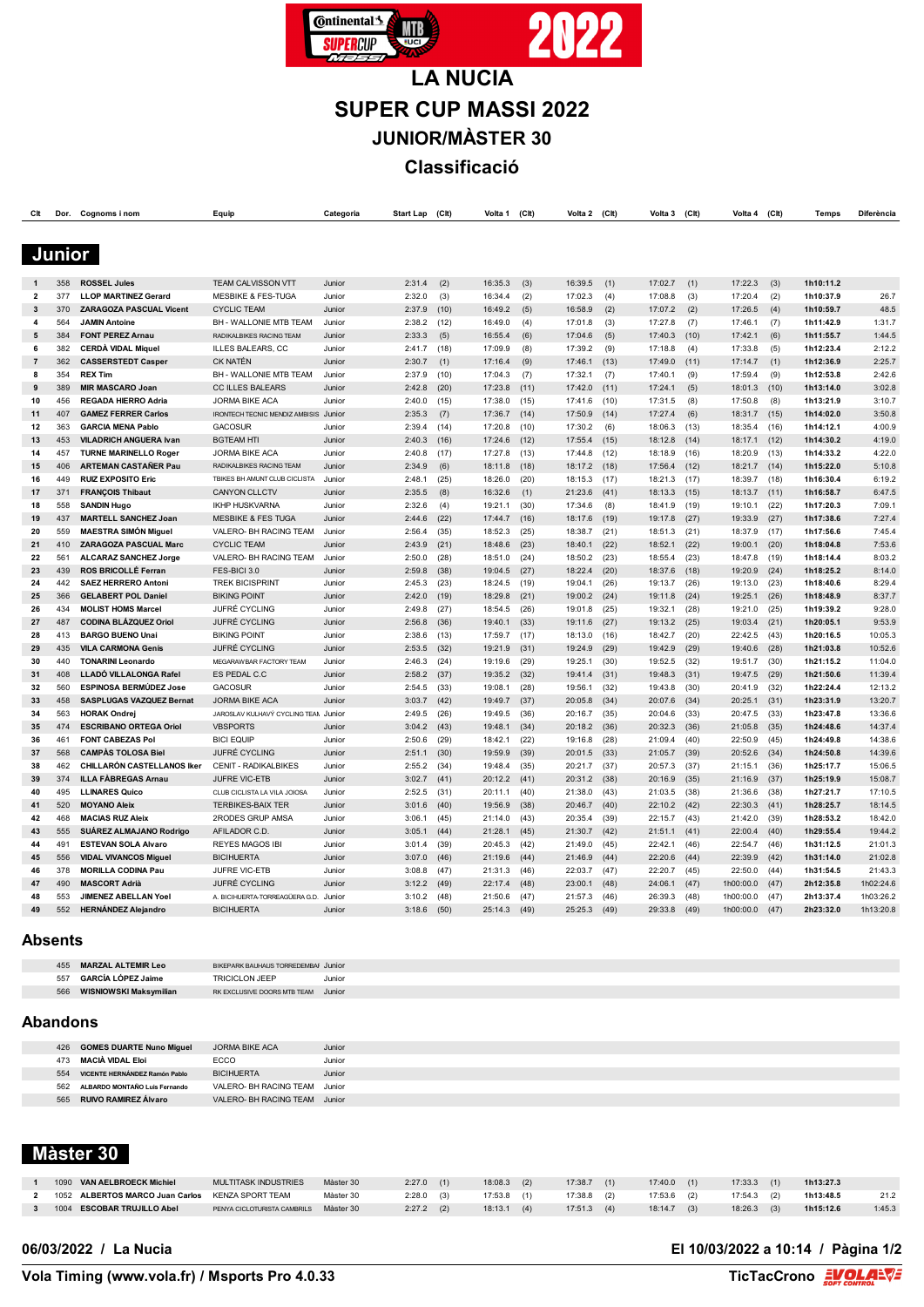

**LA NUCIA SUPER CUP MASSI 2022 JUNIOR/MÀSTER 30 Classificació**

| <b>Junior</b><br>TEAM CALVISSON VTT<br>2:31.4<br>(2)<br>17:22.3<br>358<br><b>ROSSEL Jules</b><br>Junior<br>16:35.3<br>(3)<br>16:39.5<br>(1)<br>17:02.7<br>(1)<br>$\mathbf 1$<br>(3)<br>(2)<br>(4)<br>(3)<br>2<br>377<br><b>LLOP MARTINEZ Gerard</b><br><b>MESBIKE &amp; FES-TUGA</b><br>Junior<br>2:32.0<br>16:34.4<br>17:02.3<br>17:08.8<br>17:20.4<br>370<br><b>ZARAGOZA PASCUAL Vicent</b><br><b>CYCLIC TEAM</b><br>Junior<br>2:37.9<br>(10)<br>16:49.2<br>(5)<br>16:58.9<br>(2)<br>17:07.2<br>(2)<br>17:26.5<br>3 | (3)<br>(2)<br>(4)<br>(7)<br>(6) | 1h10:11.2<br>1h10:37.9<br>1h10:59.7 | 26.7             |
|-----------------------------------------------------------------------------------------------------------------------------------------------------------------------------------------------------------------------------------------------------------------------------------------------------------------------------------------------------------------------------------------------------------------------------------------------------------------------------------------------------------------------|---------------------------------|-------------------------------------|------------------|
|                                                                                                                                                                                                                                                                                                                                                                                                                                                                                                                       |                                 |                                     |                  |
|                                                                                                                                                                                                                                                                                                                                                                                                                                                                                                                       |                                 |                                     |                  |
|                                                                                                                                                                                                                                                                                                                                                                                                                                                                                                                       |                                 |                                     |                  |
|                                                                                                                                                                                                                                                                                                                                                                                                                                                                                                                       |                                 |                                     |                  |
|                                                                                                                                                                                                                                                                                                                                                                                                                                                                                                                       |                                 |                                     |                  |
|                                                                                                                                                                                                                                                                                                                                                                                                                                                                                                                       |                                 |                                     |                  |
|                                                                                                                                                                                                                                                                                                                                                                                                                                                                                                                       |                                 |                                     | 48.5             |
| 564<br><b>JAMIN Antoine</b><br>BH - WALLONIE MTB TEAM<br>Junior<br>2:38.2<br>(12)<br>16:49.0<br>(4)<br>17:01.8<br>(3)<br>17:27.8<br>(7)<br>17:46.1<br>4                                                                                                                                                                                                                                                                                                                                                               |                                 | 1h11:42.9                           | 1:31.7           |
| RADIKALBIKES RACING TEAM<br>(5)<br>5<br>384<br><b>FONT PEREZ Arnau</b><br>2:33.3<br>16:55.4<br>(6)<br>17:04.6<br>(5)<br>17:40.3<br>(10)<br>17:42.1<br>Junior                                                                                                                                                                                                                                                                                                                                                          |                                 | 1h11:55.7                           | 1:44.5           |
| 6<br>382<br><b>CERDÀ VIDAL Miquel</b><br><b>ILLES BALEARS, CC</b><br>Junior<br>2:41.7<br>(18)<br>17:09.9<br>(8)<br>17:39.2<br>(9)<br>17:18.8<br>(4)<br>17:33.8                                                                                                                                                                                                                                                                                                                                                        | (5)                             | 1h12:23.4                           | 2:12.2           |
| <b>CASSERSTEDT Casper</b><br><b>CK NATÉN</b><br>2:30.7<br>(1)<br>17:16.4<br>(9)<br>17:46.1<br>(13)<br>17:49.0<br>17:14.7<br>362<br>Junior<br>(11)<br>7                                                                                                                                                                                                                                                                                                                                                                | (1)                             | 1h12:36.9                           | 2:25.7           |
| 8<br>354<br><b>REX Tim</b><br>BH - WALLONIE MTB TEAM<br>Junior<br>2:37.9<br>(10)<br>17:04.3<br>(7)<br>17:32.1<br>(7)<br>17:40.1<br>(9)<br>17:59.4                                                                                                                                                                                                                                                                                                                                                                     | (9)                             | 1h12:53.8                           | 2:42.6           |
| 9<br>389<br><b>MIR MASCARO Joan</b><br><b>CC ILLES BALEARS</b><br>2:42.8<br>(20)<br>17:23.8<br>(11)<br>17:42.0<br>(11)<br>17:24.1<br>(5)<br>18:01.3<br>Junior                                                                                                                                                                                                                                                                                                                                                         | (10)                            | 1h13:14.0                           | 3:02.8           |
| 10<br>456<br>REGADA HIERRO Adria<br>JORMA BIKE ACA<br>Junior<br>2:40.0<br>(15)<br>17:38.0<br>(15)<br>17:41.6<br>(10)<br>17:31.5<br>(8)<br>17:50.8                                                                                                                                                                                                                                                                                                                                                                     | (8)                             | 1h13:21.9                           | 3:10.7           |
| 407<br><b>GAMEZ FERRER Carlos</b><br>2:35.3<br>(7)<br>17:36.7<br>17:50.9<br>(14)<br>17:27.4<br>(6)<br>18:31.7<br>11<br>IRONTECH TECNIC MENDIZ AMBISIS Junior<br>(14)                                                                                                                                                                                                                                                                                                                                                  | (15)                            | 1h14:02.0                           | 3:50.8           |
| 12<br>363<br><b>GARCIA MENA Pablo</b><br><b>GACOSUR</b><br>2:39.4<br>(14)<br>17:20.8<br>(10)<br>17:30.2<br>(6)<br>18:06.3<br>(13)<br>18:35.4<br>Junior                                                                                                                                                                                                                                                                                                                                                                | (16)                            | 1h14:12.1                           | 4:00.9           |
| 453<br><b>VILADRICH ANGUERA Ivan</b><br><b>BGTEAM HTI</b><br>(16)<br>17:24.6<br>(12)<br>17:55.4<br>(15)<br>18:17.1<br>13<br>Junior<br>2:40.3<br>18:12.8<br>(14)                                                                                                                                                                                                                                                                                                                                                       | (12)                            | 1h14:30.2                           | 4:19.0           |
| (17)<br>(12)<br>14<br>457<br><b>TURNE MARINELLO Roger</b><br><b>JORMA BIKE ACA</b><br>Junior<br>2:40.8<br>17:27.8<br>(13)<br>17:44.8<br>18:18.9<br>(16)<br>18:20.9                                                                                                                                                                                                                                                                                                                                                    | (13)                            | 1h14:33.2                           | 4:22.0           |
| <b>ARTEMAN CASTAÑER Pau</b><br>2:34.9<br>(6)<br>18:17.2<br>(18)<br>18:21.7<br>406<br>Junior<br>18:11.8<br>(18)<br>17:56.4<br>(12)<br>15<br><b>RADIKALBIKES RACING TEAM</b>                                                                                                                                                                                                                                                                                                                                            | (14)                            | 1h15:22.0                           | 5:10.8           |
| (25)<br>16<br>449<br><b>RUIZ EXPOSITO Eric</b><br>TBIKES BH AMUNT CLUB CICLISTA<br>Junior<br>2:48.1<br>18:26.0<br>(20)<br>18:15.3<br>(17)<br>18:21.3<br>(17)<br>18:39.7                                                                                                                                                                                                                                                                                                                                               | (18)                            | 1h16:30.4                           | 6:19.2           |
| 371<br><b>FRANÇOIS Thibaut</b><br>2:35.5<br>(8)<br>(1)<br>21:23.6<br>(41)<br>17<br><b>CANYON CLLCTV</b><br>Junior<br>16:32.6<br>18:13.3<br>(15)<br>18:13.7                                                                                                                                                                                                                                                                                                                                                            | (11)                            | 1h16:58.7                           | 6:47.5           |
| (4)<br>(8)<br>18<br>558<br><b>SANDIN Hugo</b><br><b>IKHP HUSKVARNA</b><br>Junior<br>2:32.6<br>19:21.1<br>(30)<br>17:34.6<br>18:41.9<br>(19)<br>19:10.1                                                                                                                                                                                                                                                                                                                                                                | (22)                            | 1h17:20.3                           | 7:09.1           |
| <b>MARTELL SANCHEZ Joan</b><br>(22)<br>19:33.9<br>437<br><b>MESBIKE &amp; FES TUGA</b><br>2:44.6<br>17:44.7<br>(16)<br>18:17.6<br>(19)<br>19:17.8<br>(27)<br>19<br>Junior                                                                                                                                                                                                                                                                                                                                             | (27)                            | 1h17:38.6                           | 7:27.4           |
| (35)<br>20<br>559<br><b>MAESTRA SIMÓN Miguel</b><br>VALERO- BH RACING TEAM<br>Junior<br>2:56.4<br>18:52.3<br>(25)<br>18:38.7<br>(21)<br>18:51.3<br>(21)<br>18:37.9                                                                                                                                                                                                                                                                                                                                                    | (17)                            | 1h17:56.6                           | 7:45.4           |
| 21<br>410<br>ZARAGOZA PASCUAL Marc<br><b>CYCLIC TEAM</b><br>Junior<br>2:43.9<br>(21)<br>18:48.6<br>(23)<br>18:40.1<br>(22)<br>18:52.1<br>(22)<br>19:00.1                                                                                                                                                                                                                                                                                                                                                              | (20)                            | 1h18:04.8                           | 7:53.6           |
| (23)<br>22<br>561<br><b>ALCARAZ SANCHEZ Jorge</b><br>VALERO- BH RACING TEAM<br>Junior<br>2:50.0<br>(28)<br>18:51.0<br>(24)<br>18:50.2<br>18:55.4<br>(23)<br>18:47.8                                                                                                                                                                                                                                                                                                                                                   | (19)                            | 1h18:14.4                           | 8:03.2           |
| 439<br><b>ROS BRICOLLÉ Ferran</b><br>FES-BICI 3.0<br>Junior<br>2:59.8<br>(38)<br>19:04.5<br>(27)<br>18:22.4<br>(20)<br>18:37.6<br>(18)<br>19:20.9<br>23                                                                                                                                                                                                                                                                                                                                                               | (24)                            | 1h18:25.2                           | 8:14.0           |
| 24<br>442<br><b>SAEZ HERRERO Antoni</b><br><b>TREK BICISPRINT</b><br>Junior<br>2:45.3<br>(23)<br>18:24.5<br>(19)<br>19:04.1<br>(26)<br>19:13.7<br>(26)<br>19:13.0                                                                                                                                                                                                                                                                                                                                                     | (23)                            | 1h18:40.6                           | 8:29.4           |
| 25<br>366<br><b>GELABERT POL Daniel</b><br><b>BIKING POINT</b><br>Junior<br>2:42.0<br>(19)<br>18:29.8<br>(21)<br>19:00.2<br>(24)<br>19:11.8<br>(24)<br>19:25.1                                                                                                                                                                                                                                                                                                                                                        | (26)                            | 1h18:48.9                           | 8:37.7           |
| 26<br>434<br><b>MOLIST HOMS Marcel</b><br><b>JUFRÉ CYCLING</b><br>Junior<br>2:49.8<br>(27)<br>18:54.5<br>(26)<br>19:01.8<br>(25)<br>19:32.1<br>(28)<br>19:21.0<br>487<br><b>CODINA BLÁZQUEZ Oriol</b><br><b>JUFRÉ CYCLING</b><br>2:56.8<br>(36)<br>19:11.6<br>19:03.4                                                                                                                                                                                                                                                 | (25)<br>(21)                    | 1h19:39.2<br>1h20:05.1              | 9:28.0<br>9:53.9 |
| 19:40.1<br>(33)<br>(27)<br>19:13.2<br>(25)<br>27<br>Junior<br><b>BIKING POINT</b><br>(13)<br>(17)<br>(16)<br>(20)<br>22:42.5<br>28<br>413<br><b>BARGO BUENO Unai</b><br>Junior<br>2:38.6<br>17:59.7<br>18:13.0<br>18:42.7                                                                                                                                                                                                                                                                                             | (43)                            | 1h20:16.5                           | 10:05.3          |
| 29<br>435<br><b>VILA CARMONA Genís</b><br>JUFRÉ CYCLING<br>2:53.5<br>(32)<br>19:21.9<br>(31)<br>19:24.9<br>(29)<br>19:42.9<br>(29)<br>19:40.6<br>Junior                                                                                                                                                                                                                                                                                                                                                               | (28)                            | 1h21:03.8                           | 10:52.6          |
| (24)<br>(29)<br>19:25.1<br>(30)<br>(32)<br>19:51.7<br>30<br>440<br><b>TONARINI Leonardo</b><br>MEGARAWBAR FACTORY TEAM<br>Junior<br>2:46.3<br>19:19.6<br>19:52.5                                                                                                                                                                                                                                                                                                                                                      | (30)                            | 1h21:15.2                           | 11:04.0          |
| 408<br><b>LLADÓ VILLALONGA Rafel</b><br>ES PEDAL C.C<br>2:58.2<br>(37)<br>(32)<br>(31)<br>Junior<br>19:35.2<br>19:41.4<br>19:48.3<br>(31)<br>19:47.5<br>31                                                                                                                                                                                                                                                                                                                                                            | (29)                            | 1h21:50.6                           | 11:39.4          |
| <b>ESPINOSA BERMÚDEZ Jose</b><br>(33)<br>(28)<br>(32)<br>32<br>560<br><b>GACOSUR</b><br>Junior<br>2:54.5<br>19:08.1<br>19:56.1<br>19:43.8<br>(30)<br>20:41.9                                                                                                                                                                                                                                                                                                                                                          | (32)                            | 1h22:24.4                           | 12:13.2          |
| (42)<br>(34)<br>33<br>458<br><b>SASPLUGAS VAZQUEZ Bernat</b><br><b>JORMA BIKE ACA</b><br>Junior<br>3:03.7<br>19:49.7<br>(37)<br>20:05.8<br>20:07.6<br>(34)<br>20:25.1                                                                                                                                                                                                                                                                                                                                                 | (31)                            | 1h23:31.9                           | 13:20.7          |
| (26)<br>(35)<br>34<br>563<br><b>HORAK Ondrej</b><br>JAROSLAV KULHAVÝ CYCLING TEAN Junior<br>2:49.5<br>19:49.5<br>(36)<br>20:16.7<br>20:04.6<br>(33)<br>20:47.5                                                                                                                                                                                                                                                                                                                                                        | (33)                            | 1h23:47.8                           | 13:36.6          |
| 35<br>474<br><b>ESCRIBANO ORTEGA Oriol</b><br><b>VBSPORTS</b><br>Junior<br>3:04.2<br>(43)<br>19:48.1<br>(34)<br>20:18.2<br>(36)<br>20:32.3<br>(36)<br>21:05.8                                                                                                                                                                                                                                                                                                                                                         | (35)                            | 1h24:48.6                           | 14:37.4          |
| 36<br>461<br><b>FONT CABEZAS Pol</b><br><b>BICI EQUIP</b><br>Junior<br>2:50.6<br>(29)<br>18:42.1<br>(22)<br>19:16.8<br>(28)<br>21:09.4<br>(40)<br>22:50.9                                                                                                                                                                                                                                                                                                                                                             | (45)                            | 1h24:49.8                           | 14:38.6          |
| <b>JUFRÉ CYCLING</b><br>37<br>568<br><b>CAMPAS TOLOSA Biel</b><br>Junior<br>2:51.1<br>(30)<br>19:59.9<br>(39)<br>20:01.5<br>(33)<br>21:05.7<br>(39)<br>20:52.6                                                                                                                                                                                                                                                                                                                                                        | (34)                            | 1h24:50.8                           | 14:39.6          |
| 38<br>462<br>CHILLARÓN CASTELLANOS Iker<br><b>CENIT - RADIKALBIKES</b><br>Junior<br>2:55.2<br>(34)<br>19:48.4<br>(35)<br>20:21.7<br>(37)<br>20:57.3<br>(37)<br>21:15.1                                                                                                                                                                                                                                                                                                                                                | (36)                            | 1h25:17.7                           | 15:06.5          |
| 39<br>374<br><b>ILLA FÀBREGAS Arnau</b><br><b>JUFRE VIC-ETB</b><br>Junior<br>3:02.7<br>(41)<br>20:12.2<br>(41)<br>20:31.2<br>(38)<br>20:16.9<br>(35)<br>21:16.9                                                                                                                                                                                                                                                                                                                                                       | (37)                            | 1h25:19.9                           | 15:08.7          |
| 495<br><b>LLINARES Quico</b><br>2:52.5<br>(31)<br>20:11.1<br>(40)<br>21:38.0<br>(43)<br>21:03.5<br>(38)<br>21:36.6<br>40<br>CLUB CICLISTA LA VILA JOIOSA<br>Junior                                                                                                                                                                                                                                                                                                                                                    | (38)                            | 1h27:21.7                           | 17:10.5          |
| 520<br><b>MOYANO Aleix</b><br><b>TERBIKES-BAIX TER</b><br>Junior<br>3:01.6<br>(40)<br>19:56.9<br>(38)<br>20:46.7<br>(40)<br>22:10.2<br>(42)<br>22:30.3<br>41                                                                                                                                                                                                                                                                                                                                                          | (41)                            | 1h28:25.7                           | 18:14.5          |
| 468<br><b>MACIAS RUZ Aleix</b><br>2RODES GRUP AMSA<br>3:06.1<br>(45)<br>(43)<br>20:35.4<br>(39)<br>(43)<br>21:42.0<br>42<br>Junior<br>21:14.0<br>22:15.7                                                                                                                                                                                                                                                                                                                                                              | (39)                            | 1h28:53.2                           | 18:42.0          |
| 43<br>555<br>SUÁREZ ALMAJANO Rodrigo<br>AFILADOR C.D<br>3:05.1<br>(44)<br>21:28.1<br>(45)<br>21:30.7<br>(42)<br>21:51.1<br>(41)<br>22:00.4<br>Junior                                                                                                                                                                                                                                                                                                                                                                  | (40)                            | 1h29:55.4                           | 19:44.2          |
| <b>REYES MAGOS IBI</b><br>(39)<br>(42)<br>21:49.0<br>(45)<br>(46)<br>22:54.7<br>44<br>491<br><b>ESTEVAN SOLA Alvaro</b><br>Junior<br>3:01.4<br>20:45.3<br>22:42.1                                                                                                                                                                                                                                                                                                                                                     | (46)                            | 1h31:12.5                           | 21:01.3          |
| 556<br><b>VIDAL VIVANCOS Miguel</b><br><b>BICIHUERTA</b><br>3:07.0<br>(46)<br>21:19.6<br>(44)<br>21:46.9<br>(44)<br>22:20.6<br>(44)<br>22:39.9<br>45<br>Junior                                                                                                                                                                                                                                                                                                                                                        | (42)                            | 1h31:14.0                           | 21:02.8          |
| <b>MORILLA CODINA Pau</b><br>JUFRE VIC-ETB<br>(47)<br>(47)<br>22:50.0<br>46<br>378<br>Junior<br>3:08.8<br>21:31.3<br>(46)<br>22:03.7<br>22:20.7<br>(45)                                                                                                                                                                                                                                                                                                                                                               | (44)                            | 1h31:54.5                           | 21:43.3          |
| <b>JUFRÉ CYCLING</b><br>47<br>490<br><b>MASCORT Adrià</b><br>Junior<br>3:12.2<br>(49)<br>22:17.4<br>(48)<br>23:00.1<br>(48)<br>24:06.1<br>(47)<br>1h00:00.0                                                                                                                                                                                                                                                                                                                                                           | (47)                            | 2h12:35.8                           | 1h02:24.6        |
| <b>JIMENEZ ABELLAN Yoel</b><br>A. BICIHUERTA-TORREAGÜERA G.D.<br>(48)<br>(46)<br>(48)<br>48<br>553<br>Junior<br>3:10.2<br>21:50.6<br>(47)<br>21:57.3<br>26:39.3<br>1h00:00.0                                                                                                                                                                                                                                                                                                                                          | (47)                            | 2h13:37.4                           | 1h03:26.2        |
| 49<br>552<br><b>HERNÁNDEZ Alejandro</b><br><b>BICIHUERTA</b><br>(50)<br>(49)<br>(49)<br>1h00:00.0<br>Junior<br>3:18.6<br>25:14.3<br>(49)<br>25:25.3<br>29:33.8                                                                                                                                                                                                                                                                                                                                                        | (47)                            | 2h23:32.0                           | 1h13:20.8        |

#### **Absents**

| 455 | <b>MARZAL ALTEMIR Leo</b>  | <b>BIKEPARK BAUHAUS TORREDEMBAL JUNIOR</b> |        |
|-----|----------------------------|--------------------------------------------|--------|
|     | 557 GARCÍA LÓPEZ Jaime     | TRICICLON JEEP                             | Junior |
|     | 566 WISNIOWSKI Maksymilian | RK EXCLUSIVE DOORS MTB TEAM                | Junior |

## **Abandons**

|     | 426 GOMES DUARTE Nuno Miguel      | JORMA BIKE ACA                | Junior |
|-----|-----------------------------------|-------------------------------|--------|
| 473 | MACIÀ VIDAL Eloi                  | <b>ECCO</b>                   | Junior |
| 554 | VICENTE HERNÁNDEZ Ramón Pablo     | <b>BICIHUERTA</b>             | Junior |
|     | 562 ALBARDO MONTAÑO Luis Fernando | VALERO- BH RACING TEAM Junior |        |
| 565 | <b>RUIVO RAMIREZ Álvaro</b>       | VALERO- BH RACING TEAM Junior |        |

# **Màster 30**

| <b>VAN AELBROECK Michiel</b><br>1090 | <b>MULTITASK INDUSTRIES</b> | Màster 30 | $2:27.0$ (1) |     | 18:08.3 | (2) | 17:38.7 | (1) | 17:40.0 | (1) | 17:33.3 | (1) | 1h13:27.3 |        |
|--------------------------------------|-----------------------------|-----------|--------------|-----|---------|-----|---------|-----|---------|-----|---------|-----|-----------|--------|
| ALBERTOS MARCO Juan Carlos<br>1052   | KENZA SPORT TEAM            | Màster 30 | 2:28.0       | (3) | 17:53.8 | (1) | 17:38.8 | (2) | 17:53.6 | (2) | 17:54.3 | (2) | 1h13:48.5 |        |
| 1004<br><b>ESCOBAR TRUJILLO Abel</b> | PENYA CICLOTURISTA CAMBRILS | Màster 30 | $2:27.2$ (2) |     | 18:13.1 | (4) | 17:51.3 | (4) | 18:14.7 | (3) | 18:26.3 | (3) | 1h15:12.6 | 1:45.3 |

### **06/03/2022 / La Nucia El 10/03/2022 a 10:14 / Pàgina 1/2**